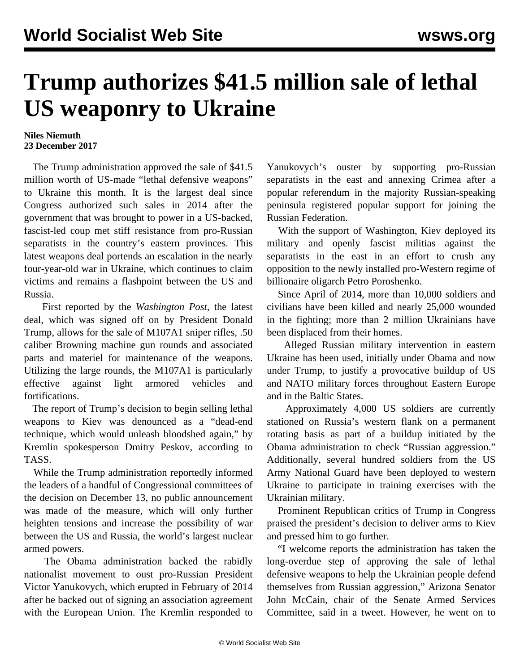## **Trump authorizes \$41.5 million sale of lethal US weaponry to Ukraine**

## **Niles Niemuth 23 December 2017**

 The Trump administration approved the sale of \$41.5 million worth of US-made "lethal defensive weapons" to Ukraine this month. It is the largest deal since Congress authorized such sales in 2014 after the government that was brought to power in a US-backed, fascist-led coup met stiff resistance from pro-Russian separatists in the country's eastern provinces. This latest weapons deal portends an escalation in the nearly four-year-old war in Ukraine, which continues to claim victims and remains a flashpoint between the US and Russia.

 First reported by the *Washington Post*, the latest deal, which was signed off on by President Donald Trump, allows for the sale of M107A1 sniper rifles, .50 caliber Browning machine gun rounds and associated parts and materiel for maintenance of the weapons. Utilizing the large rounds, the M107A1 is particularly effective against light armored vehicles and fortifications.

 The report of Trump's decision to begin selling lethal weapons to Kiev was denounced as a "dead-end technique, which would unleash bloodshed again," by Kremlin spokesperson Dmitry Peskov, according to TASS.

 While the Trump administration reportedly informed the leaders of a handful of Congressional committees of the decision on December 13, no public announcement was made of the measure, which will only further heighten tensions and increase the possibility of war between the US and Russia, the world's largest nuclear armed powers.

 The Obama administration backed the rabidly nationalist movement to oust pro-Russian President Victor Yanukovych, which erupted in February of 2014 after he backed out of signing an association agreement with the European Union. The Kremlin responded to

Yanukovych's ouster by supporting pro-Russian separatists in the east and annexing Crimea after a popular referendum in the majority Russian-speaking peninsula registered popular support for joining the Russian Federation.

 With the support of Washington, Kiev deployed its military and openly fascist militias against the separatists in the east in an effort to crush any opposition to the newly installed pro-Western regime of billionaire oligarch Petro Poroshenko.

 Since April of 2014, more than 10,000 soldiers and civilians have been killed and nearly 25,000 wounded in the fighting; more than 2 million Ukrainians have been displaced from their homes.

 Alleged Russian military intervention in eastern Ukraine has been used, initially under Obama and now under Trump, to justify a provocative buildup of US and NATO military forces throughout Eastern Europe and in the Baltic States.

 Approximately 4,000 US soldiers are currently stationed on Russia's western flank on a permanent rotating basis as part of a buildup initiated by the Obama administration to check "Russian aggression." Additionally, several hundred soldiers from the US Army National Guard have been deployed to western Ukraine to participate in training exercises with the Ukrainian military.

 Prominent Republican critics of Trump in Congress praised the president's decision to deliver arms to Kiev and pressed him to go further.

 "I welcome reports the administration has taken the long-overdue step of approving the sale of lethal defensive weapons to help the Ukrainian people defend themselves from Russian aggression," Arizona Senator John McCain, chair of the Senate Armed Services Committee, said in a tweet. However, he went on to